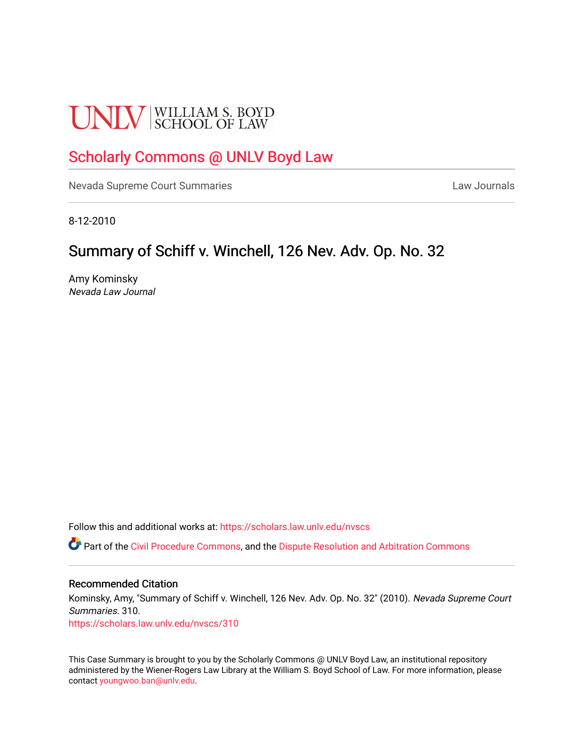# **UNLV** SCHOOL OF LAW

## [Scholarly Commons @ UNLV Boyd Law](https://scholars.law.unlv.edu/)

[Nevada Supreme Court Summaries](https://scholars.law.unlv.edu/nvscs) **Law Journals** Law Journals

8-12-2010

# Summary of Schiff v. Winchell, 126 Nev. Adv. Op. No. 32

Amy Kominsky Nevada Law Journal

Follow this and additional works at: [https://scholars.law.unlv.edu/nvscs](https://scholars.law.unlv.edu/nvscs?utm_source=scholars.law.unlv.edu%2Fnvscs%2F310&utm_medium=PDF&utm_campaign=PDFCoverPages)

Part of the [Civil Procedure Commons,](http://network.bepress.com/hgg/discipline/584?utm_source=scholars.law.unlv.edu%2Fnvscs%2F310&utm_medium=PDF&utm_campaign=PDFCoverPages) and the [Dispute Resolution and Arbitration Commons](http://network.bepress.com/hgg/discipline/890?utm_source=scholars.law.unlv.edu%2Fnvscs%2F310&utm_medium=PDF&utm_campaign=PDFCoverPages) 

### Recommended Citation

Kominsky, Amy, "Summary of Schiff v. Winchell, 126 Nev. Adv. Op. No. 32" (2010). Nevada Supreme Court Summaries. 310.

[https://scholars.law.unlv.edu/nvscs/310](https://scholars.law.unlv.edu/nvscs/310?utm_source=scholars.law.unlv.edu%2Fnvscs%2F310&utm_medium=PDF&utm_campaign=PDFCoverPages)

This Case Summary is brought to you by the Scholarly Commons @ UNLV Boyd Law, an institutional repository administered by the Wiener-Rogers Law Library at the William S. Boyd School of Law. For more information, please contact [youngwoo.ban@unlv.edu](mailto:youngwoo.ban@unlv.edu).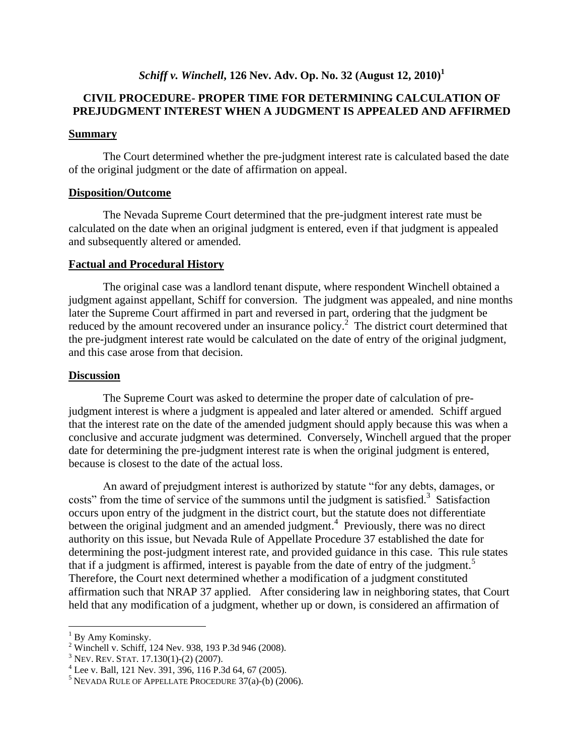## *Schiff v. Winchell***, 126 Nev. Adv. Op. No. 32 (August 12, 2010)<sup>1</sup>**

## **CIVIL PROCEDURE- PROPER TIME FOR DETERMINING CALCULATION OF PREJUDGMENT INTEREST WHEN A JUDGMENT IS APPEALED AND AFFIRMED**

#### **Summary**

The Court determined whether the pre-judgment interest rate is calculated based the date of the original judgment or the date of affirmation on appeal.

#### **Disposition/Outcome**

The Nevada Supreme Court determined that the pre-judgment interest rate must be calculated on the date when an original judgment is entered, even if that judgment is appealed and subsequently altered or amended.

### **Factual and Procedural History**

The original case was a landlord tenant dispute, where respondent Winchell obtained a judgment against appellant, Schiff for conversion. The judgment was appealed, and nine months later the Supreme Court affirmed in part and reversed in part, ordering that the judgment be reduced by the amount recovered under an insurance policy.<sup>2</sup> The district court determined that the pre-judgment interest rate would be calculated on the date of entry of the original judgment, and this case arose from that decision.

#### **Discussion**

The Supreme Court was asked to determine the proper date of calculation of prejudgment interest is where a judgment is appealed and later altered or amended. Schiff argued that the interest rate on the date of the amended judgment should apply because this was when a conclusive and accurate judgment was determined. Conversely, Winchell argued that the proper date for determining the pre-judgment interest rate is when the original judgment is entered, because is closest to the date of the actual loss.

An award of prejudgment interest is authorized by statute "for any debts, damages, or costs" from the time of service of the summons until the judgment is satisfied.<sup>3</sup> Satisfaction occurs upon entry of the judgment in the district court, but the statute does not differentiate between the original judgment and an amended judgment.<sup>4</sup> Previously, there was no direct authority on this issue, but Nevada Rule of Appellate Procedure 37 established the date for determining the post-judgment interest rate, and provided guidance in this case. This rule states that if a judgment is affirmed, interest is payable from the date of entry of the judgment.<sup>5</sup> Therefore, the Court next determined whether a modification of a judgment constituted affirmation such that NRAP 37 applied. After considering law in neighboring states, that Court held that any modification of a judgment, whether up or down, is considered an affirmation of

 $\overline{a}$ 

 $<sup>1</sup>$  By Amy Kominsky.</sup>

<sup>2</sup> Winchell v. Schiff, 124 Nev. 938, 193 P.3d 946 (2008).

 $3$  Nev. Rev. Stat. 17.130(1)-(2) (2007).

<sup>4</sup> Lee v. Ball, 121 Nev. 391, 396, 116 P.3d 64, 67 (2005).

 $5$  NEVADA RULE OF APPELLATE PROCEDURE 37(a)-(b) (2006).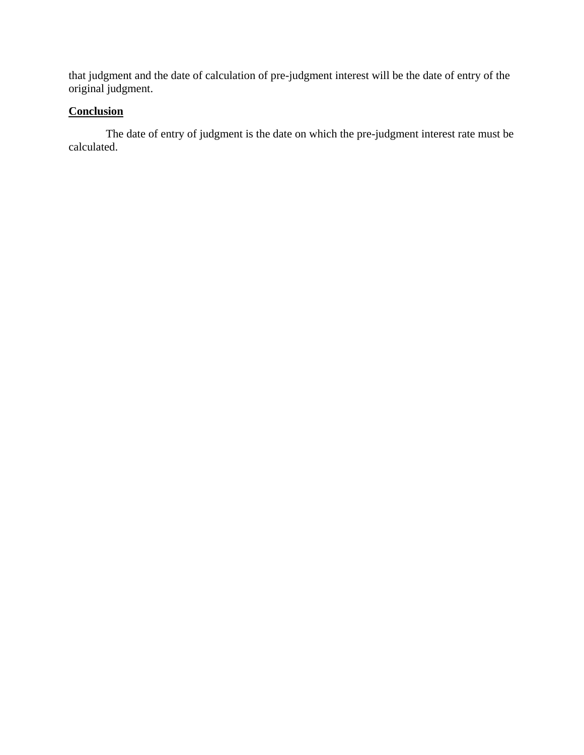that judgment and the date of calculation of pre-judgment interest will be the date of entry of the original judgment.

## **Conclusion**

The date of entry of judgment is the date on which the pre-judgment interest rate must be calculated.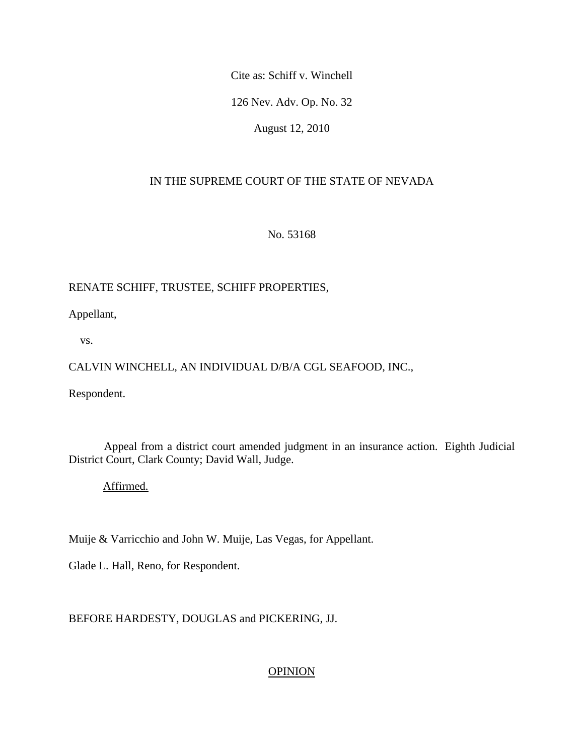Cite as: Schiff v. Winchell

126 Nev. Adv. Op. No. 32

August 12, 2010

## IN THE SUPREME COURT OF THE STATE OF NEVADA

No. 53168

## RENATE SCHIFF, TRUSTEE, SCHIFF PROPERTIES,

Appellant,

vs.

## CALVIN WINCHELL, AN INDIVIDUAL D/B/A CGL SEAFOOD, INC.,

Respondent.

 Appeal from a district court amended judgment in an insurance action. Eighth Judicial District Court, Clark County; David Wall, Judge.

Affirmed.

Muije & Varricchio and John W. Muije, Las Vegas, for Appellant.

Glade L. Hall, Reno, for Respondent.

## BEFORE HARDESTY, DOUGLAS and PICKERING, JJ.

## **OPINION**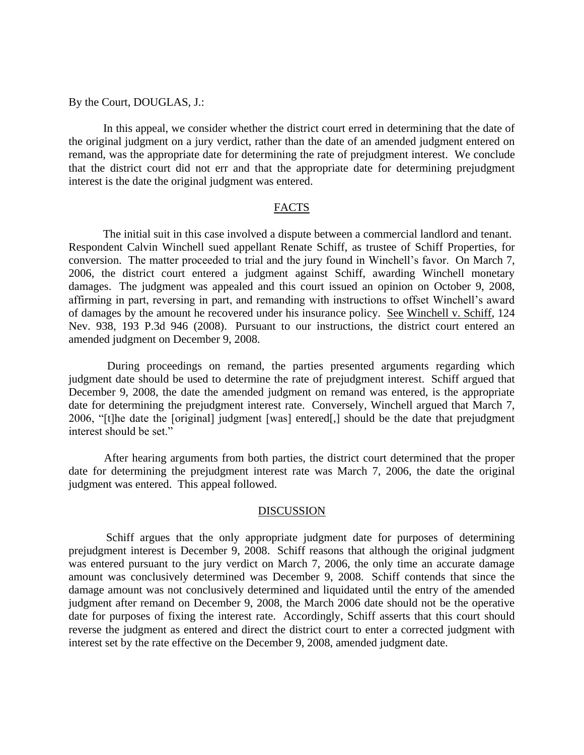#### By the Court, DOUGLAS, J.:

 In this appeal, we consider whether the district court erred in determining that the date of the original judgment on a jury verdict, rather than the date of an amended judgment entered on remand, was the appropriate date for determining the rate of prejudgment interest. We conclude that the district court did not err and that the appropriate date for determining prejudgment interest is the date the original judgment was entered.

#### FACTS

 The initial suit in this case involved a dispute between a commercial landlord and tenant. Respondent Calvin Winchell sued appellant Renate Schiff, as trustee of Schiff Properties, for conversion. The matter proceeded to trial and the jury found in Winchell's favor. On March 7, 2006, the district court entered a judgment against Schiff, awarding Winchell monetary damages. The judgment was appealed and this court issued an opinion on October 9, 2008, affirming in part, reversing in part, and remanding with instructions to offset Winchell's award of damages by the amount he recovered under his insurance policy. See Winchell v. Schiff, 124 Nev. 938, 193 P.3d 946 (2008). Pursuant to our instructions, the district court entered an amended judgment on December 9, 2008.

 During proceedings on remand, the parties presented arguments regarding which judgment date should be used to determine the rate of prejudgment interest. Schiff argued that December 9, 2008, the date the amended judgment on remand was entered, is the appropriate date for determining the prejudgment interest rate. Conversely, Winchell argued that March 7, 2006, "[t]he date the [original] judgment [was] entered[,] should be the date that prejudgment interest should be set."

 After hearing arguments from both parties, the district court determined that the proper date for determining the prejudgment interest rate was March 7, 2006, the date the original judgment was entered. This appeal followed.

#### DISCUSSION

 Schiff argues that the only appropriate judgment date for purposes of determining prejudgment interest is December 9, 2008. Schiff reasons that although the original judgment was entered pursuant to the jury verdict on March 7, 2006, the only time an accurate damage amount was conclusively determined was December 9, 2008. Schiff contends that since the damage amount was not conclusively determined and liquidated until the entry of the amended judgment after remand on December 9, 2008, the March 2006 date should not be the operative date for purposes of fixing the interest rate. Accordingly, Schiff asserts that this court should reverse the judgment as entered and direct the district court to enter a corrected judgment with interest set by the rate effective on the December 9, 2008, amended judgment date.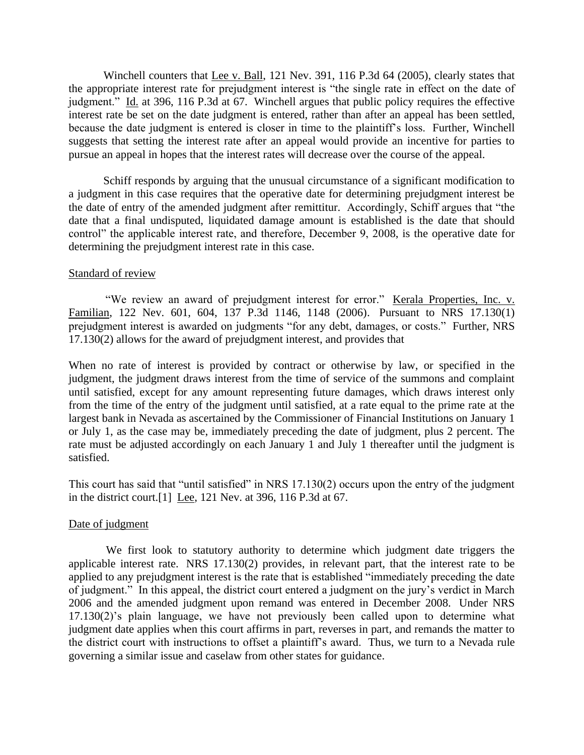Winchell counters that Lee v. Ball, 121 Nev. 391, 116 P.3d 64 (2005), clearly states that the appropriate interest rate for prejudgment interest is "the single rate in effect on the date of judgment." Id. at 396, 116 P.3d at 67. Winchell argues that public policy requires the effective interest rate be set on the date judgment is entered, rather than after an appeal has been settled, because the date judgment is entered is closer in time to the plaintiff's loss. Further, Winchell suggests that setting the interest rate after an appeal would provide an incentive for parties to pursue an appeal in hopes that the interest rates will decrease over the course of the appeal.

 Schiff responds by arguing that the unusual circumstance of a significant modification to a judgment in this case requires that the operative date for determining prejudgment interest be the date of entry of the amended judgment after remittitur. Accordingly, Schiff argues that "the date that a final undisputed, liquidated damage amount is established is the date that should control" the applicable interest rate, and therefore, December 9, 2008, is the operative date for determining the prejudgment interest rate in this case.

## Standard of review

"We review an award of prejudgment interest for error." Kerala Properties, Inc. v. Familian, 122 Nev. 601, 604, 137 P.3d 1146, 1148 (2006). Pursuant to NRS 17.130(1) prejudgment interest is awarded on judgments "for any debt, damages, or costs." Further, NRS 17.130(2) allows for the award of prejudgment interest, and provides that

When no rate of interest is provided by contract or otherwise by law, or specified in the judgment, the judgment draws interest from the time of service of the summons and complaint until satisfied, except for any amount representing future damages, which draws interest only from the time of the entry of the judgment until satisfied, at a rate equal to the prime rate at the largest bank in Nevada as ascertained by the Commissioner of Financial Institutions on January 1 or July 1, as the case may be, immediately preceding the date of judgment, plus 2 percent. The rate must be adjusted accordingly on each January 1 and July 1 thereafter until the judgment is satisfied.

This court has said that "until satisfied" in NRS 17.130(2) occurs upon the entry of the judgment in the district court.[1] Lee, 121 Nev. at 396, 116 P.3d at 67.

### Date of judgment

 We first look to statutory authority to determine which judgment date triggers the applicable interest rate. NRS 17.130(2) provides, in relevant part, that the interest rate to be applied to any prejudgment interest is the rate that is established "immediately preceding the date of judgment." In this appeal, the district court entered a judgment on the jury's verdict in March 2006 and the amended judgment upon remand was entered in December 2008. Under NRS 17.130(2)'s plain language, we have not previously been called upon to determine what judgment date applies when this court affirms in part, reverses in part, and remands the matter to the district court with instructions to offset a plaintiff's award. Thus, we turn to a Nevada rule governing a similar issue and caselaw from other states for guidance.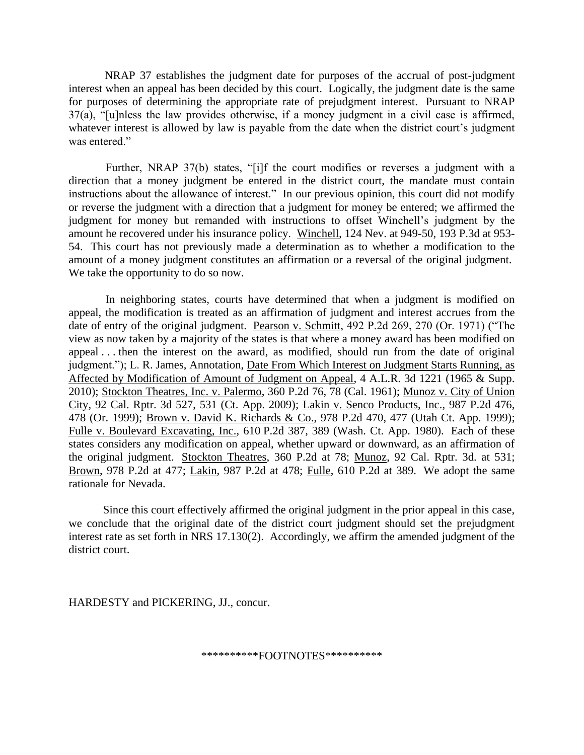NRAP 37 establishes the judgment date for purposes of the accrual of post-judgment interest when an appeal has been decided by this court. Logically, the judgment date is the same for purposes of determining the appropriate rate of prejudgment interest. Pursuant to NRAP 37(a), "[u]nless the law provides otherwise, if a money judgment in a civil case is affirmed, whatever interest is allowed by law is payable from the date when the district court's judgment was entered."

 Further, NRAP 37(b) states, "[i]f the court modifies or reverses a judgment with a direction that a money judgment be entered in the district court, the mandate must contain instructions about the allowance of interest." In our previous opinion, this court did not modify or reverse the judgment with a direction that a judgment for money be entered; we affirmed the judgment for money but remanded with instructions to offset Winchell's judgment by the amount he recovered under his insurance policy. Winchell, 124 Nev. at 949-50, 193 P.3d at 953- 54. This court has not previously made a determination as to whether a modification to the amount of a money judgment constitutes an affirmation or a reversal of the original judgment. We take the opportunity to do so now.

 In neighboring states, courts have determined that when a judgment is modified on appeal, the modification is treated as an affirmation of judgment and interest accrues from the date of entry of the original judgment. Pearson v. Schmitt, 492 P.2d 269, 270 (Or. 1971) ("The view as now taken by a majority of the states is that where a money award has been modified on appeal . . . then the interest on the award, as modified, should run from the date of original judgment."); L. R. James, Annotation, Date From Which Interest on Judgment Starts Running, as Affected by Modification of Amount of Judgment on Appeal, 4 A.L.R. 3d 1221 (1965 & Supp. 2010); Stockton Theatres, Inc. v. Palermo, 360 P.2d 76, 78 (Cal. 1961); Munoz v. City of Union City, 92 Cal. Rptr. 3d 527, 531 (Ct. App. 2009); Lakin v. Senco Products, Inc., 987 P.2d 476, 478 (Or. 1999); Brown v. David K. Richards & Co., 978 P.2d 470, 477 (Utah Ct. App. 1999); Fulle v. Boulevard Excavating, Inc., 610 P.2d 387, 389 (Wash. Ct. App. 1980). Each of these states considers any modification on appeal, whether upward or downward, as an affirmation of the original judgment. Stockton Theatres, 360 P.2d at 78; Munoz, 92 Cal. Rptr. 3d. at 531; Brown, 978 P.2d at 477; Lakin, 987 P.2d at 478; Fulle, 610 P.2d at 389. We adopt the same rationale for Nevada.

 Since this court effectively affirmed the original judgment in the prior appeal in this case, we conclude that the original date of the district court judgment should set the prejudgment interest rate as set forth in NRS 17.130(2). Accordingly, we affirm the amended judgment of the district court.

HARDESTY and PICKERING, JJ., concur.